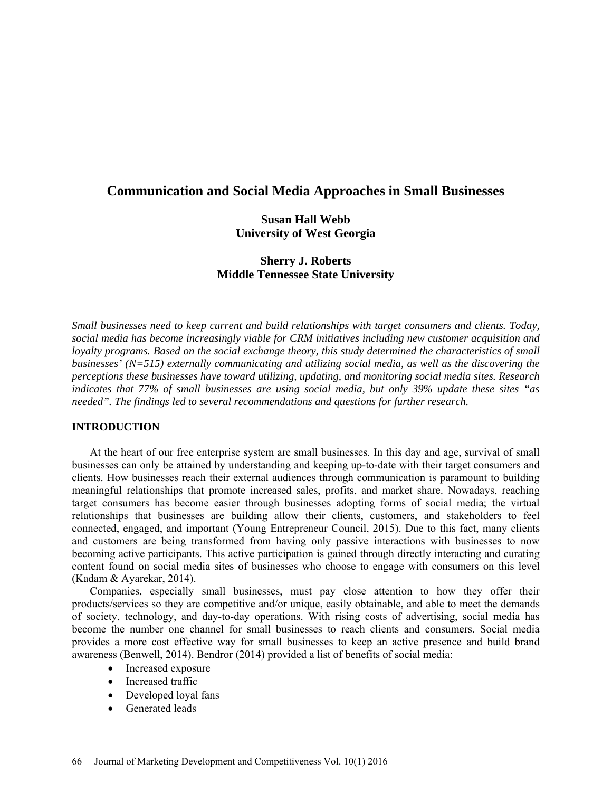# **Communication and Social Media Approaches in Small Businesses**

# **Susan Hall Webb University of West Georgia**

# **Sherry J. Roberts Middle Tennessee State University**

*Small businesses need to keep current and build relationships with target consumers and clients. Today, social media has become increasingly viable for CRM initiatives including new customer acquisition and loyalty programs. Based on the social exchange theory, this study determined the characteristics of small businesses' (N=515) externally communicating and utilizing social media, as well as the discovering the perceptions these businesses have toward utilizing, updating, and monitoring social media sites. Research indicates that 77% of small businesses are using social media, but only 39% update these sites "as needed". The findings led to several recommendations and questions for further research.*

# **INTRODUCTION**

At the heart of our free enterprise system are small businesses. In this day and age, survival of small businesses can only be attained by understanding and keeping up-to-date with their target consumers and clients. How businesses reach their external audiences through communication is paramount to building meaningful relationships that promote increased sales, profits, and market share. Nowadays, reaching target consumers has become easier through businesses adopting forms of social media; the virtual relationships that businesses are building allow their clients, customers, and stakeholders to feel connected, engaged, and important (Young Entrepreneur Council, 2015). Due to this fact, many clients and customers are being transformed from having only passive interactions with businesses to now becoming active participants. This active participation is gained through directly interacting and curating content found on social media sites of businesses who choose to engage with consumers on this level (Kadam & Ayarekar, 2014).

Companies, especially small businesses, must pay close attention to how they offer their products/services so they are competitive and/or unique, easily obtainable, and able to meet the demands of society, technology, and day-to-day operations. With rising costs of advertising, social media has become the number one channel for small businesses to reach clients and consumers. Social media provides a more cost effective way for small businesses to keep an active presence and build brand awareness (Benwell, 2014). Bendror (2014) provided a list of benefits of social media:

- Increased exposure
- Increased traffic
- Developed loyal fans
- Generated leads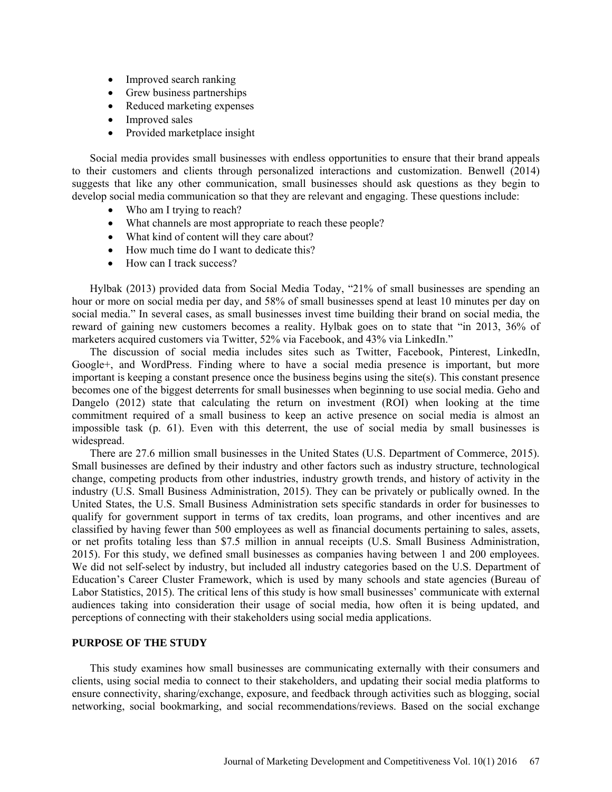- Improved search ranking
- Grew business partnerships
- Reduced marketing expenses
- Improved sales
- Provided marketplace insight

Social media provides small businesses with endless opportunities to ensure that their brand appeals to their customers and clients through personalized interactions and customization. Benwell (2014) suggests that like any other communication, small businesses should ask questions as they begin to develop social media communication so that they are relevant and engaging. These questions include:

- Who am I trying to reach?
- What channels are most appropriate to reach these people?
- What kind of content will they care about?
- How much time do I want to dedicate this?
- How can I track success?

Hylbak (2013) provided data from Social Media Today, "21% of small businesses are spending an hour or more on social media per day, and 58% of small businesses spend at least 10 minutes per day on social media." In several cases, as small businesses invest time building their brand on social media, the reward of gaining new customers becomes a reality. Hylbak goes on to state that "in 2013, 36% of marketers acquired customers via Twitter, 52% via Facebook, and 43% via LinkedIn."

The discussion of social media includes sites such as Twitter, Facebook, Pinterest, LinkedIn, Google+, and WordPress. Finding where to have a social media presence is important, but more important is keeping a constant presence once the business begins using the site(s). This constant presence becomes one of the biggest deterrents for small businesses when beginning to use social media. Geho and Dangelo (2012) state that calculating the return on investment (ROI) when looking at the time commitment required of a small business to keep an active presence on social media is almost an impossible task (p. 61). Even with this deterrent, the use of social media by small businesses is widespread.

There are 27.6 million small businesses in the United States (U.S. Department of Commerce, 2015). Small businesses are defined by their industry and other factors such as industry structure, technological change, competing products from other industries, industry growth trends, and history of activity in the industry (U.S. Small Business Administration, 2015). They can be privately or publically owned. In the United States, the U.S. Small Business Administration sets specific standards in order for businesses to qualify for government support in terms of tax credits, loan programs, and other incentives and are classified by having fewer than 500 employees as well as financial documents pertaining to sales, assets, or net profits totaling less than \$7.5 million in annual receipts (U.S. Small Business Administration, 2015). For this study, we defined small businesses as companies having between 1 and 200 employees. We did not self-select by industry, but included all industry categories based on the U.S. Department of Education's Career Cluster Framework, which is used by many schools and state agencies (Bureau of Labor Statistics, 2015). The critical lens of this study is how small businesses' communicate with external audiences taking into consideration their usage of social media, how often it is being updated, and perceptions of connecting with their stakeholders using social media applications.

# **PURPOSE OF THE STUDY**

This study examines how small businesses are communicating externally with their consumers and clients, using social media to connect to their stakeholders, and updating their social media platforms to ensure connectivity, sharing/exchange, exposure, and feedback through activities such as blogging, social networking, social bookmarking, and social recommendations/reviews. Based on the social exchange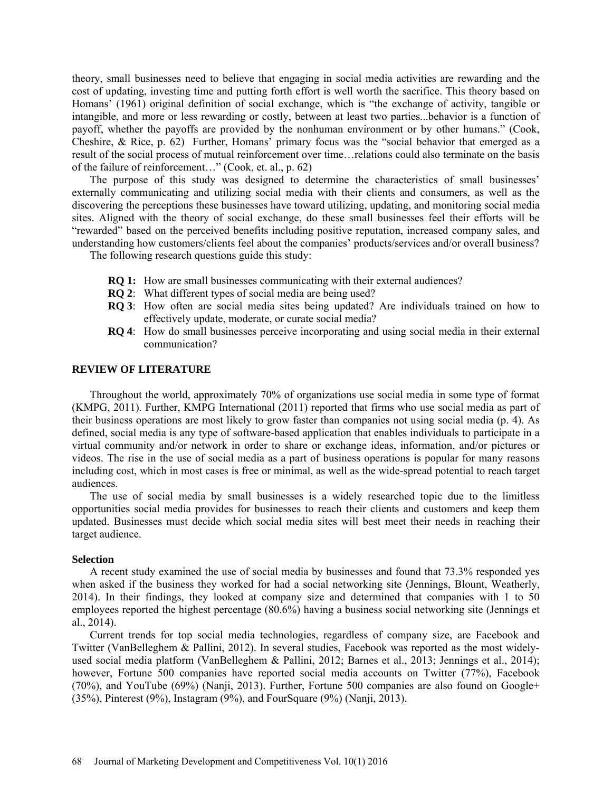theory, small businesses need to believe that engaging in social media activities are rewarding and the cost of updating, investing time and putting forth effort is well worth the sacrifice. This theory based on Homans' (1961) original definition of social exchange, which is "the exchange of activity, tangible or intangible, and more or less rewarding or costly, between at least two parties...behavior is a function of payoff, whether the payoffs are provided by the nonhuman environment or by other humans." (Cook, Cheshire, & Rice, p. 62) Further, Homans' primary focus was the "social behavior that emerged as a result of the social process of mutual reinforcement over time…relations could also terminate on the basis of the failure of reinforcement…" (Cook, et. al., p. 62)

The purpose of this study was designed to determine the characteristics of small businesses' externally communicating and utilizing social media with their clients and consumers, as well as the discovering the perceptions these businesses have toward utilizing, updating, and monitoring social media sites. Aligned with the theory of social exchange, do these small businesses feel their efforts will be "rewarded" based on the perceived benefits including positive reputation, increased company sales, and understanding how customers/clients feel about the companies' products/services and/or overall business?

The following research questions guide this study:

- **RQ 1:** How are small businesses communicating with their external audiences?
- **RQ 2**: What different types of social media are being used?
- **RQ 3**: How often are social media sites being updated? Are individuals trained on how to effectively update, moderate, or curate social media?
- **RQ 4**: How do small businesses perceive incorporating and using social media in their external communication?

## **REVIEW OF LITERATURE**

Throughout the world, approximately 70% of organizations use social media in some type of format (KMPG, 2011). Further, KMPG International (2011) reported that firms who use social media as part of their business operations are most likely to grow faster than companies not using social media (p. 4). As defined, social media is any type of software-based application that enables individuals to participate in a virtual community and/or network in order to share or exchange ideas, information, and/or pictures or videos. The rise in the use of social media as a part of business operations is popular for many reasons including cost, which in most cases is free or minimal, as well as the wide-spread potential to reach target audiences.

The use of social media by small businesses is a widely researched topic due to the limitless opportunities social media provides for businesses to reach their clients and customers and keep them updated. Businesses must decide which social media sites will best meet their needs in reaching their target audience.

### **Selection**

A recent study examined the use of social media by businesses and found that 73.3% responded yes when asked if the business they worked for had a social networking site (Jennings, Blount, Weatherly, 2014). In their findings, they looked at company size and determined that companies with 1 to 50 employees reported the highest percentage (80.6%) having a business social networking site (Jennings et al., 2014).

Current trends for top social media technologies, regardless of company size, are Facebook and Twitter (VanBelleghem & Pallini, 2012). In several studies, Facebook was reported as the most widelyused social media platform (VanBelleghem & Pallini, 2012; Barnes et al., 2013; Jennings et al., 2014); however, Fortune 500 companies have reported social media accounts on Twitter (77%), Facebook (70%), and YouTube (69%) (Nanji, 2013). Further, Fortune 500 companies are also found on Google+ (35%), Pinterest (9%), Instagram (9%), and FourSquare (9%) (Nanji, 2013).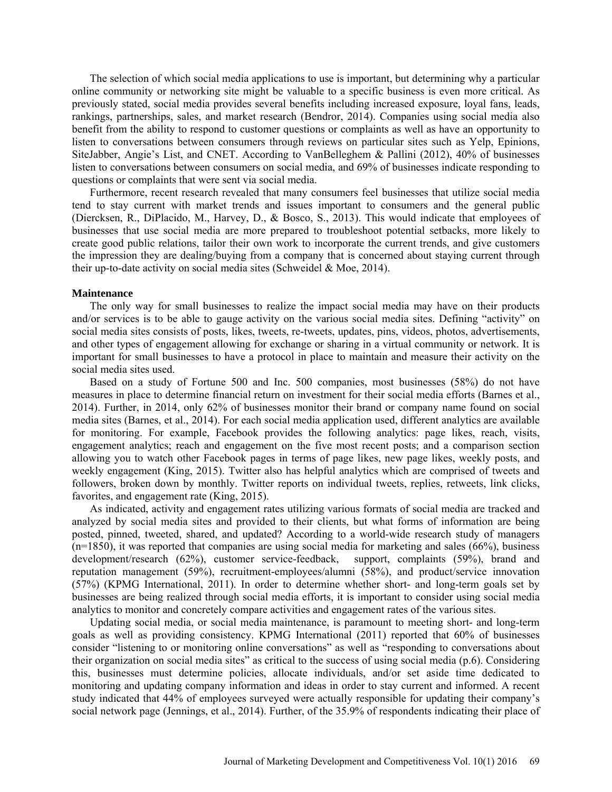The selection of which social media applications to use is important, but determining why a particular online community or networking site might be valuable to a specific business is even more critical. As previously stated, social media provides several benefits including increased exposure, loyal fans, leads, rankings, partnerships, sales, and market research (Bendror, 2014). Companies using social media also benefit from the ability to respond to customer questions or complaints as well as have an opportunity to listen to conversations between consumers through reviews on particular sites such as Yelp, Epinions, SiteJabber, Angie's List, and CNET. According to VanBelleghem & Pallini (2012), 40% of businesses listen to conversations between consumers on social media, and 69% of businesses indicate responding to questions or complaints that were sent via social media.

Furthermore, recent research revealed that many consumers feel businesses that utilize social media tend to stay current with market trends and issues important to consumers and the general public (Diercksen, R., DiPlacido, M., Harvey, D., & Bosco, S., 2013). This would indicate that employees of businesses that use social media are more prepared to troubleshoot potential setbacks, more likely to create good public relations, tailor their own work to incorporate the current trends, and give customers the impression they are dealing/buying from a company that is concerned about staying current through their up-to-date activity on social media sites (Schweidel & Moe, 2014).

#### **Maintenance**

The only way for small businesses to realize the impact social media may have on their products and/or services is to be able to gauge activity on the various social media sites. Defining "activity" on social media sites consists of posts, likes, tweets, re-tweets, updates, pins, videos, photos, advertisements, and other types of engagement allowing for exchange or sharing in a virtual community or network. It is important for small businesses to have a protocol in place to maintain and measure their activity on the social media sites used.

Based on a study of Fortune 500 and Inc. 500 companies, most businesses (58%) do not have measures in place to determine financial return on investment for their social media efforts (Barnes et al., 2014). Further, in 2014, only 62% of businesses monitor their brand or company name found on social media sites (Barnes, et al., 2014). For each social media application used, different analytics are available for monitoring. For example, Facebook provides the following analytics: page likes, reach, visits, engagement analytics; reach and engagement on the five most recent posts; and a comparison section allowing you to watch other Facebook pages in terms of page likes, new page likes, weekly posts, and weekly engagement (King, 2015). Twitter also has helpful analytics which are comprised of tweets and followers, broken down by monthly. Twitter reports on individual tweets, replies, retweets, link clicks, favorites, and engagement rate (King, 2015).

As indicated, activity and engagement rates utilizing various formats of social media are tracked and analyzed by social media sites and provided to their clients, but what forms of information are being posted, pinned, tweeted, shared, and updated? According to a world-wide research study of managers  $(n=1850)$ , it was reported that companies are using social media for marketing and sales (66%), business development/research (62%), customer service-feedback, support, complaints (59%), brand and reputation management (59%), recruitment-employees/alumni (58%), and product/service innovation (57%) (KPMG International, 2011). In order to determine whether short- and long-term goals set by businesses are being realized through social media efforts, it is important to consider using social media analytics to monitor and concretely compare activities and engagement rates of the various sites.

Updating social media, or social media maintenance, is paramount to meeting short- and long-term goals as well as providing consistency. KPMG International (2011) reported that 60% of businesses consider "listening to or monitoring online conversations" as well as "responding to conversations about their organization on social media sites" as critical to the success of using social media (p.6). Considering this, businesses must determine policies, allocate individuals, and/or set aside time dedicated to monitoring and updating company information and ideas in order to stay current and informed. A recent study indicated that 44% of employees surveyed were actually responsible for updating their company's social network page (Jennings, et al., 2014). Further, of the 35.9% of respondents indicating their place of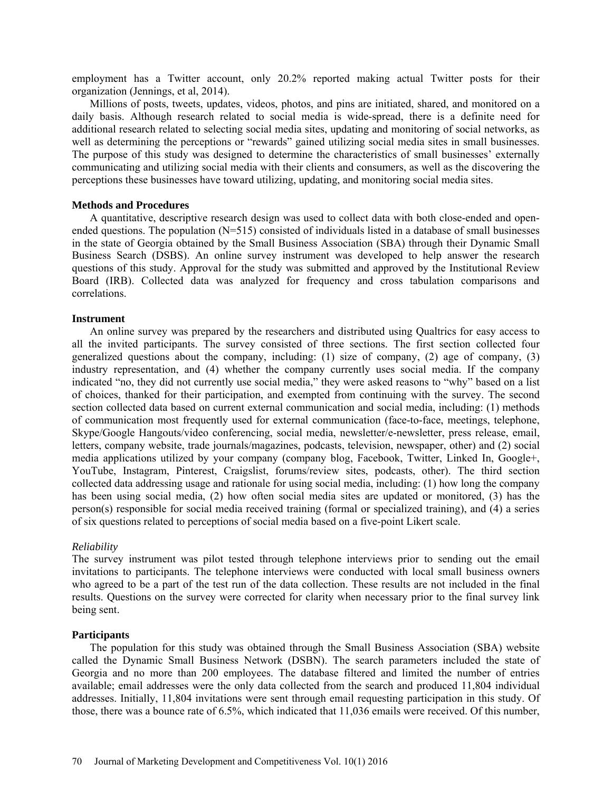employment has a Twitter account, only 20.2% reported making actual Twitter posts for their organization (Jennings, et al, 2014).

Millions of posts, tweets, updates, videos, photos, and pins are initiated, shared, and monitored on a daily basis. Although research related to social media is wide-spread, there is a definite need for additional research related to selecting social media sites, updating and monitoring of social networks, as well as determining the perceptions or "rewards" gained utilizing social media sites in small businesses. The purpose of this study was designed to determine the characteristics of small businesses' externally communicating and utilizing social media with their clients and consumers, as well as the discovering the perceptions these businesses have toward utilizing, updating, and monitoring social media sites.

### **Methods and Procedures**

A quantitative, descriptive research design was used to collect data with both close-ended and openended questions. The population (N=515) consisted of individuals listed in a database of small businesses in the state of Georgia obtained by the Small Business Association (SBA) through their Dynamic Small Business Search (DSBS). An online survey instrument was developed to help answer the research questions of this study. Approval for the study was submitted and approved by the Institutional Review Board (IRB). Collected data was analyzed for frequency and cross tabulation comparisons and correlations.

### **Instrument**

An online survey was prepared by the researchers and distributed using Qualtrics for easy access to all the invited participants. The survey consisted of three sections. The first section collected four generalized questions about the company, including: (1) size of company, (2) age of company, (3) industry representation, and (4) whether the company currently uses social media. If the company indicated "no, they did not currently use social media," they were asked reasons to "why" based on a list of choices, thanked for their participation, and exempted from continuing with the survey. The second section collected data based on current external communication and social media, including: (1) methods of communication most frequently used for external communication (face-to-face, meetings, telephone, Skype/Google Hangouts/video conferencing, social media, newsletter/e-newsletter, press release, email, letters, company website, trade journals/magazines, podcasts, television, newspaper, other) and (2) social media applications utilized by your company (company blog, Facebook, Twitter, Linked In, Google+, YouTube, Instagram, Pinterest, Craigslist, forums/review sites, podcasts, other). The third section collected data addressing usage and rationale for using social media, including: (1) how long the company has been using social media, (2) how often social media sites are updated or monitored, (3) has the person(s) responsible for social media received training (formal or specialized training), and (4) a series of six questions related to perceptions of social media based on a five-point Likert scale.

#### *Reliability*

The survey instrument was pilot tested through telephone interviews prior to sending out the email invitations to participants. The telephone interviews were conducted with local small business owners who agreed to be a part of the test run of the data collection. These results are not included in the final results. Questions on the survey were corrected for clarity when necessary prior to the final survey link being sent.

### **Participants**

The population for this study was obtained through the Small Business Association (SBA) website called the Dynamic Small Business Network (DSBN). The search parameters included the state of Georgia and no more than 200 employees. The database filtered and limited the number of entries available; email addresses were the only data collected from the search and produced 11,804 individual addresses. Initially, 11,804 invitations were sent through email requesting participation in this study. Of those, there was a bounce rate of 6.5%, which indicated that 11,036 emails were received. Of this number,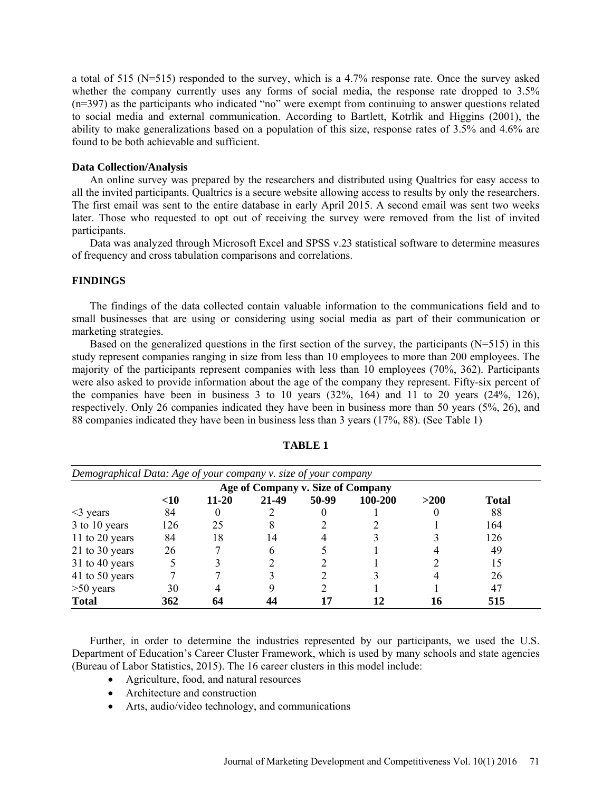a total of 515 (N=515) responded to the survey, which is a 4.7% response rate. Once the survey asked whether the company currently uses any forms of social media, the response rate dropped to 3.5% (n=397) as the participants who indicated "no" were exempt from continuing to answer questions related to social media and external communication. According to Bartlett, Kotrlik and Higgins (2001), the ability to make generalizations based on a population of this size, response rates of 3.5% and 4.6% are found to be both achievable and sufficient.

### **Data Collection/Analysis**

An online survey was prepared by the researchers and distributed using Qualtrics for easy access to all the invited participants. Qualtrics is a secure website allowing access to results by only the researchers. The first email was sent to the entire database in early April 2015. A second email was sent two weeks later. Those who requested to opt out of receiving the survey were removed from the list of invited participants.

Data was analyzed through Microsoft Excel and SPSS v.23 statistical software to determine measures of frequency and cross tabulation comparisons and correlations.

# **FINDINGS**

The findings of the data collected contain valuable information to the communications field and to small businesses that are using or considering using social media as part of their communication or marketing strategies.

Based on the generalized questions in the first section of the survey, the participants (N=515) in this study represent companies ranging in size from less than 10 employees to more than 200 employees. The majority of the participants represent companies with less than 10 employees (70%, 362). Participants were also asked to provide information about the age of the company they represent. Fifty-six percent of the companies have been in business 3 to 10 years (32%, 164) and 11 to 20 years (24%, 126), respectively. Only 26 companies indicated they have been in business more than 50 years (5%, 26), and 88 companies indicated they have been in business less than 3 years (17%, 88). (See Table 1)

| Demographical Data: Age of your company v. size of your company<br>Age of Company v. Size of Company |     |    |    |  |  |    |        |
|------------------------------------------------------------------------------------------------------|-----|----|----|--|--|----|--------|
|                                                                                                      |     |    |    |  |  |    | $<$ 10 |
| $\leq$ years                                                                                         | 84  |    |    |  |  |    | 88     |
| 3 to 10 years                                                                                        | 126 | 25 | 8  |  |  |    | 164    |
| 11 to 20 years                                                                                       | 84  | 18 | 14 |  |  |    | 126    |
| 21 to 30 years                                                                                       | 26  |    | h  |  |  |    | 49     |
| 31 to 40 years                                                                                       |     |    |    |  |  |    | 15     |
| 41 to 50 years                                                                                       |     |    |    |  |  |    | 26     |
| $>50$ years                                                                                          | 30  |    |    |  |  |    | 47     |
| <b>Total</b>                                                                                         | 362 |    |    |  |  | 16 | 515    |

**TABLE 1**

Further, in order to determine the industries represented by our participants, we used the U.S. Department of Education's Career Cluster Framework, which is used by many schools and state agencies (Bureau of Labor Statistics, 2015). The 16 career clusters in this model include:

- Agriculture, food, and natural resources
- Architecture and construction
- Arts, audio/video technology, and communications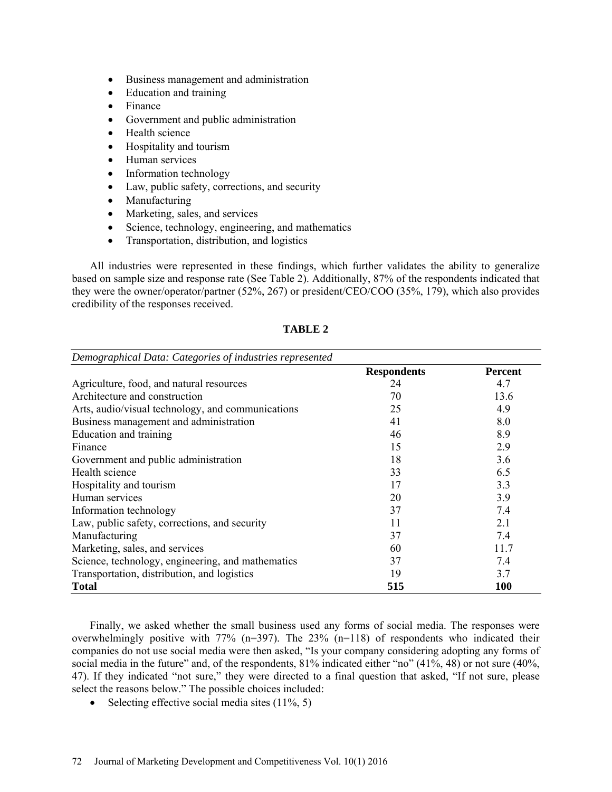- Business management and administration
- Education and training
- Finance
- Government and public administration
- Health science
- Hospitality and tourism
- Human services
- Information technology
- Law, public safety, corrections, and security
- Manufacturing
- Marketing, sales, and services
- Science, technology, engineering, and mathematics
- Transportation, distribution, and logistics

All industries were represented in these findings, which further validates the ability to generalize based on sample size and response rate (See Table 2). Additionally, 87% of the respondents indicated that they were the owner/operator/partner (52%, 267) or president/CEO/COO (35%, 179), which also provides credibility of the responses received.

| Demographical Data: Categories of industries represented |                    |                |
|----------------------------------------------------------|--------------------|----------------|
|                                                          | <b>Respondents</b> | <b>Percent</b> |
| Agriculture, food, and natural resources                 | 24                 | 4.7            |
| Architecture and construction                            | 70                 | 13.6           |
| Arts, audio/visual technology, and communications        | 25                 | 4.9            |
| Business management and administration                   | 41                 | 8.0            |
| Education and training                                   | 46                 | 8.9            |
| Finance                                                  | 15                 | 2.9            |
| Government and public administration                     | 18                 | 3.6            |
| Health science                                           | 33                 | 6.5            |
| Hospitality and tourism                                  | 17                 | 3.3            |
| Human services                                           | 20                 | 3.9            |
| Information technology                                   | 37                 | 7.4            |
| Law, public safety, corrections, and security            | 11                 | 2.1            |
| Manufacturing                                            | 37                 | 7.4            |
| Marketing, sales, and services                           | 60                 | 11.7           |
| Science, technology, engineering, and mathematics        | 37                 | 7.4            |
| Transportation, distribution, and logistics              | 19                 | 3.7            |
| <b>Total</b>                                             | 515                | <b>100</b>     |

# **TABLE 2**

Finally, we asked whether the small business used any forms of social media. The responses were overwhelmingly positive with 77% (n=397). The 23% (n=118) of respondents who indicated their companies do not use social media were then asked, "Is your company considering adopting any forms of social media in the future" and, of the respondents, 81% indicated either "no" (41%, 48) or not sure (40%, 47). If they indicated "not sure," they were directed to a final question that asked, "If not sure, please select the reasons below." The possible choices included:

• Selecting effective social media sites  $(11\%, 5)$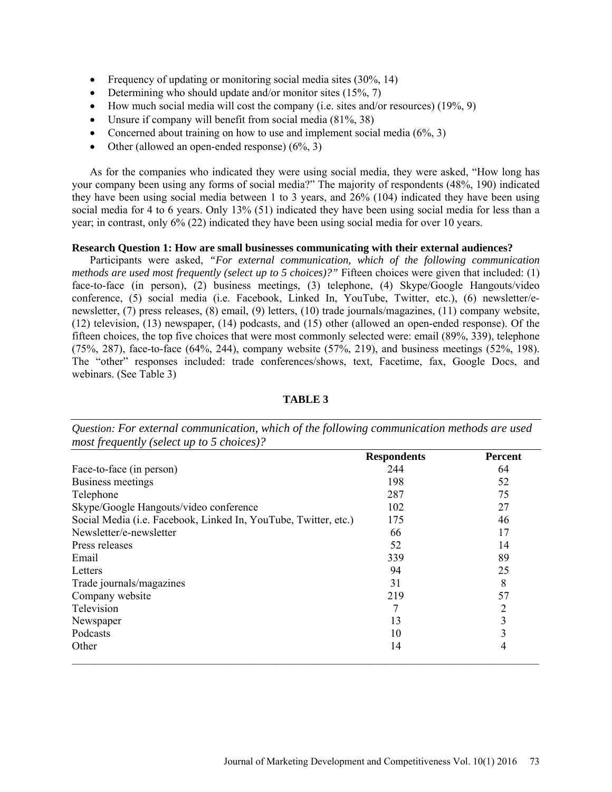- Frequency of updating or monitoring social media sites (30%, 14)
- Determining who should update and/or monitor sites  $(15\%, 7)$
- How much social media will cost the company (i.e. sites and/or resources) (19%, 9)
- Unsure if company will benefit from social media (81%, 38)
- Concerned about training on how to use and implement social media  $(6\%, 3)$
- Other (allowed an open-ended response)  $(6\%, 3)$

As for the companies who indicated they were using social media, they were asked, "How long has your company been using any forms of social media?" The majority of respondents (48%, 190) indicated they have been using social media between 1 to 3 years, and 26% (104) indicated they have been using social media for 4 to 6 years. Only 13% (51) indicated they have been using social media for less than a year; in contrast, only 6% (22) indicated they have been using social media for over 10 years.

# **Research Question 1: How are small businesses communicating with their external audiences?**

Participants were asked, *"For external communication, which of the following communication methods are used most frequently (select up to 5 choices)?"* Fifteen choices were given that included: (1) face-to-face (in person), (2) business meetings, (3) telephone, (4) Skype/Google Hangouts/video conference, (5) social media (i.e. Facebook, Linked In, YouTube, Twitter, etc.), (6) newsletter/enewsletter, (7) press releases, (8) email, (9) letters, (10) trade journals/magazines, (11) company website, (12) television, (13) newspaper, (14) podcasts, and (15) other (allowed an open-ended response). Of the fifteen choices, the top five choices that were most commonly selected were: email (89%, 339), telephone (75%, 287), face-to-face (64%, 244), company website (57%, 219), and business meetings (52%, 198). The "other" responses included: trade conferences/shows, text, Facetime, fax, Google Docs, and webinars. (See Table 3)

|                                                                 | <b>Respondents</b> | <b>Percent</b> |
|-----------------------------------------------------------------|--------------------|----------------|
| Face-to-face (in person)                                        | 244                | 64             |
| Business meetings                                               | 198                | 52             |
| Telephone                                                       | 287                | 75             |
| Skype/Google Hangouts/video conference                          | 102                | 27             |
| Social Media (i.e. Facebook, Linked In, YouTube, Twitter, etc.) | 175                | 46             |
| Newsletter/e-newsletter                                         | 66                 | 17             |
| Press releases                                                  | 52                 | 14             |
| Email                                                           | 339                | 89             |
| Letters                                                         | 94                 | 25             |
| Trade journals/magazines                                        | 31                 | 8              |
| Company website                                                 | 219                | 57             |
| Television                                                      |                    | 2              |
| Newspaper                                                       | 13                 | 3              |
| Podcasts                                                        | 10                 | 3              |
| Other                                                           | 14                 | 4              |

#### **TABLE 3**

*Question: For external communication, which of the following communication methods are used most frequently (select up to 5 choices)?*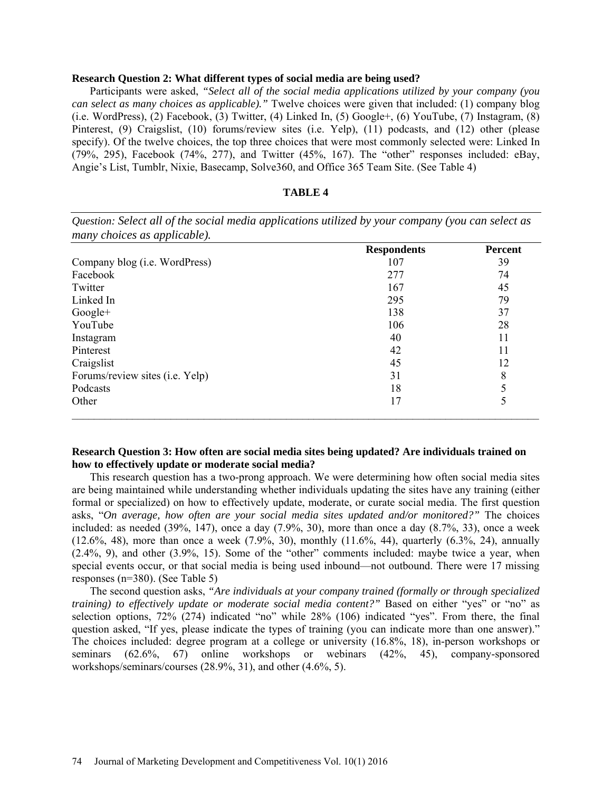## **Research Question 2: What different types of social media are being used?**

Participants were asked, *"Select all of the social media applications utilized by your company (you can select as many choices as applicable)."* Twelve choices were given that included: (1) company blog (i.e. WordPress), (2) Facebook, (3) Twitter, (4) Linked In, (5) Google+, (6) YouTube, (7) Instagram,  $(8)$ Pinterest, (9) Craigslist, (10) forums/review sites (i.e. Yelp), (11) podcasts, and (12) other (please specify). Of the twelve choices, the top three choices that were most commonly selected were: Linked In (79%, 295), Facebook (74%, 277), and Twitter (45%, 167). The "other" responses included: eBay, Angie's List, Tumblr, Nixie, Basecamp, Solve360, and Office 365 Team Site. (See Table 4)

# **TABLE 4**

| many choices as applicable).          |                    |                |
|---------------------------------------|--------------------|----------------|
|                                       | <b>Respondents</b> | <b>Percent</b> |
| Company blog ( <i>i.e.</i> WordPress) | 107                | 39             |
| Facebook                              | 277                | 74             |
| Twitter                               | 167                | 45             |
| Linked In                             | 295                | 79             |
| $Google+$                             | 138                | 37             |
| YouTube                               | 106                | 28             |
| Instagram                             | 40                 | 11             |
| Pinterest                             | 42                 | 11             |
| Craigslist                            | 45                 | 12             |
| Forums/review sites (i.e. Yelp)       | 31                 | 8              |
| Podcasts                              | 18                 |                |
| Other                                 | 17                 | 5              |

*Question: Select all of the social media applications utilized by your company (you can select as* 

# **Research Question 3: How often are social media sites being updated? Are individuals trained on how to effectively update or moderate social media?**

This research question has a two-prong approach. We were determining how often social media sites are being maintained while understanding whether individuals updating the sites have any training (either formal or specialized) on how to effectively update, moderate, or curate social media. The first question asks, "*On average, how often are your social media sites updated and/or monitored?"* The choices included: as needed (39%, 147), once a day (7.9%, 30), more than once a day (8.7%, 33), once a week  $(12.6\%, 48)$ , more than once a week  $(7.9\%, 30)$ , monthly  $(11.6\%, 44)$ , quarterly  $(6.3\%, 24)$ , annually (2.4%, 9), and other (3.9%, 15). Some of the "other" comments included: maybe twice a year, when special events occur, or that social media is being used inbound—not outbound. There were 17 missing responses (n=380). (See Table 5)

The second question asks, *"Are individuals at your company trained (formally or through specialized training) to effectively update or moderate social media content?*" Based on either "yes" or "no" as selection options, 72% (274) indicated "no" while 28% (106) indicated "yes". From there, the final question asked, "If yes, please indicate the types of training (you can indicate more than one answer)." The choices included: degree program at a college or university (16.8%, 18), in-person workshops or seminars (62.6%, 67) online workshops or webinars (42%, 45), company-sponsored workshops/seminars/courses (28.9%, 31), and other (4.6%, 5).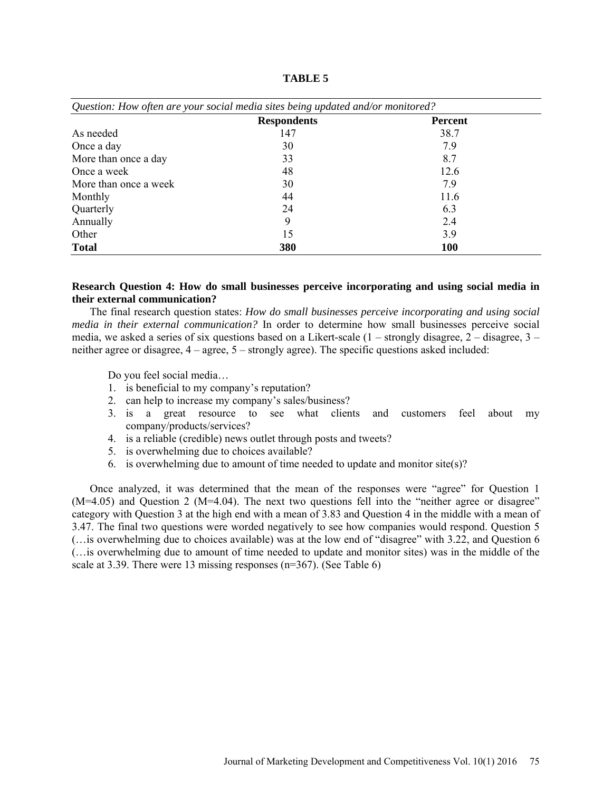| Question: How often are your social media sites being updated and/or monitored? |                    |                |  |  |
|---------------------------------------------------------------------------------|--------------------|----------------|--|--|
|                                                                                 | <b>Respondents</b> | <b>Percent</b> |  |  |
| As needed                                                                       | 147                | 38.7           |  |  |
| Once a day                                                                      | 30                 | 7.9            |  |  |
| More than once a day                                                            | 33                 | 8.7            |  |  |
| Once a week                                                                     | 48                 | 12.6           |  |  |
| More than once a week                                                           | 30                 | 7.9            |  |  |
| Monthly                                                                         | 44                 | 11.6           |  |  |
| Quarterly                                                                       | 24                 | 6.3            |  |  |
| Annually                                                                        | 9                  | 2.4            |  |  |
| Other                                                                           | 15                 | 3.9            |  |  |
| <b>Total</b>                                                                    | 380                | 100            |  |  |

**TABLE 5**

# **Research Question 4: How do small businesses perceive incorporating and using social media in their external communication?**

The final research question states: *How do small businesses perceive incorporating and using social media in their external communication?* In order to determine how small businesses perceive social media, we asked a series of six questions based on a Likert-scale  $(1 -$ strongly disagree,  $2 -$ disagree,  $3$ neither agree or disagree, 4 – agree, 5 – strongly agree). The specific questions asked included:

Do you feel social media…

- 1. is beneficial to my company's reputation?
- 2. can help to increase my company's sales/business?
- 3. is a great resource to see what clients and customers feel about my company/products/services?
- 4. is a reliable (credible) news outlet through posts and tweets?
- 5. is overwhelming due to choices available?
- 6. is overwhelming due to amount of time needed to update and monitor site(s)?

Once analyzed, it was determined that the mean of the responses were "agree" for Question 1 (M=4.05) and Question 2 (M=4.04). The next two questions fell into the "neither agree or disagree" category with Question 3 at the high end with a mean of 3.83 and Question 4 in the middle with a mean of 3.47. The final two questions were worded negatively to see how companies would respond. Question 5 (…is overwhelming due to choices available) was at the low end of "disagree" with 3.22, and Question 6 (…is overwhelming due to amount of time needed to update and monitor sites) was in the middle of the scale at 3.39. There were 13 missing responses (n=367). (See Table 6)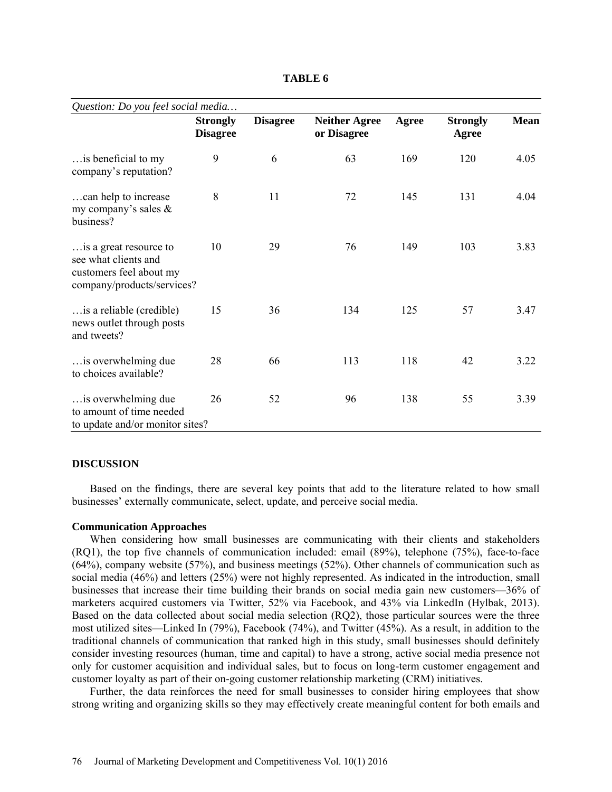**TABLE 6**

| Question: Do you feel social media                                                                      |                                    |                 |                                     |       |                          |             |  |
|---------------------------------------------------------------------------------------------------------|------------------------------------|-----------------|-------------------------------------|-------|--------------------------|-------------|--|
|                                                                                                         | <b>Strongly</b><br><b>Disagree</b> | <b>Disagree</b> | <b>Neither Agree</b><br>or Disagree | Agree | <b>Strongly</b><br>Agree | <b>Mean</b> |  |
| is beneficial to my<br>company's reputation?                                                            | 9                                  | 6               | 63                                  | 169   | 120                      | 4.05        |  |
| can help to increase<br>my company's sales $\&$<br>business?                                            | 8                                  | 11              | 72                                  | 145   | 131                      | 4.04        |  |
| is a great resource to<br>see what clients and<br>customers feel about my<br>company/products/services? | 10                                 | 29              | 76                                  | 149   | 103                      | 3.83        |  |
| is a reliable (credible)<br>news outlet through posts<br>and tweets?                                    | 15                                 | 36              | 134                                 | 125   | 57                       | 3.47        |  |
| is overwhelming due<br>to choices available?                                                            | 28                                 | 66              | 113                                 | 118   | 42                       | 3.22        |  |
| is overwhelming due<br>to amount of time needed<br>to update and/or monitor sites?                      | 26                                 | 52              | 96                                  | 138   | 55                       | 3.39        |  |

## **DISCUSSION**

Based on the findings, there are several key points that add to the literature related to how small businesses' externally communicate, select, update, and perceive social media.

#### **Communication Approaches**

When considering how small businesses are communicating with their clients and stakeholders (RQ1), the top five channels of communication included: email (89%), telephone (75%), face-to-face (64%), company website (57%), and business meetings (52%). Other channels of communication such as social media (46%) and letters (25%) were not highly represented. As indicated in the introduction, small businesses that increase their time building their brands on social media gain new customers—36% of marketers acquired customers via Twitter, 52% via Facebook, and 43% via LinkedIn (Hylbak, 2013). Based on the data collected about social media selection (RQ2), those particular sources were the three most utilized sites—Linked In (79%), Facebook (74%), and Twitter (45%). As a result, in addition to the traditional channels of communication that ranked high in this study, small businesses should definitely consider investing resources (human, time and capital) to have a strong, active social media presence not only for customer acquisition and individual sales, but to focus on long-term customer engagement and customer loyalty as part of their on-going customer relationship marketing (CRM) initiatives.

Further, the data reinforces the need for small businesses to consider hiring employees that show strong writing and organizing skills so they may effectively create meaningful content for both emails and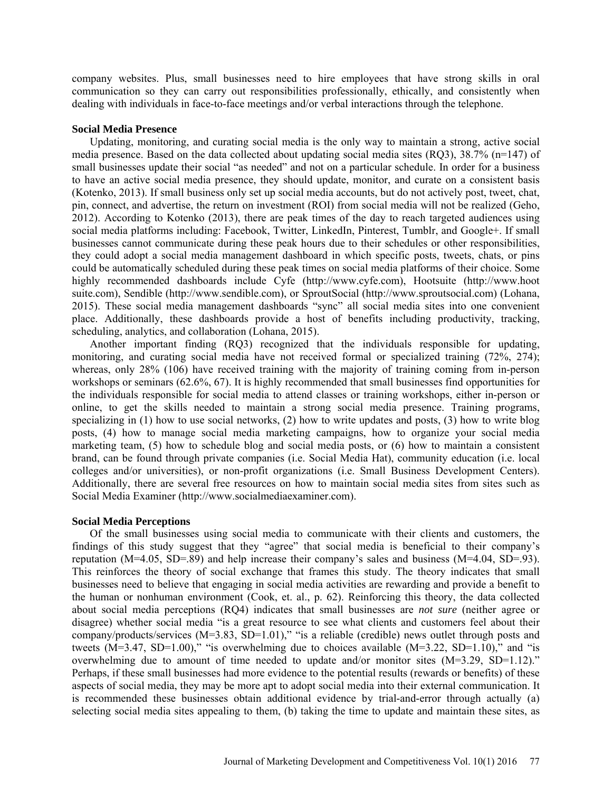company websites. Plus, small businesses need to hire employees that have strong skills in oral communication so they can carry out responsibilities professionally, ethically, and consistently when dealing with individuals in face-to-face meetings and/or verbal interactions through the telephone.

## **Social Media Presence**

Updating, monitoring, and curating social media is the only way to maintain a strong, active social media presence. Based on the data collected about updating social media sites (RQ3), 38.7% (n=147) of small businesses update their social "as needed" and not on a particular schedule. In order for a business to have an active social media presence, they should update, monitor, and curate on a consistent basis (Kotenko, 2013). If small business only set up social media accounts, but do not actively post, tweet, chat, pin, connect, and advertise, the return on investment (ROI) from social media will not be realized (Geho, 2012). According to Kotenko (2013), there are peak times of the day to reach targeted audiences using social media platforms including: Facebook, Twitter, LinkedIn, Pinterest, Tumblr, and Google+. If small businesses cannot communicate during these peak hours due to their schedules or other responsibilities, they could adopt a social media management dashboard in which specific posts, tweets, chats, or pins could be automatically scheduled during these peak times on social media platforms of their choice. Some highly recommended dashboards include Cyfe (http://www.cyfe.com), Hootsuite [\(http://www.hoot](http://www.hoot/) suite.com), Sendible (http://www.sendible.com), or SproutSocial (http://www.sproutsocial.com) (Lohana, 2015). These social media management dashboards "sync" all social media sites into one convenient place. Additionally, these dashboards provide a host of benefits including productivity, tracking, scheduling, analytics, and collaboration (Lohana, 2015).

Another important finding (RQ3) recognized that the individuals responsible for updating, monitoring, and curating social media have not received formal or specialized training (72%, 274); whereas, only 28% (106) have received training with the majority of training coming from in-person workshops or seminars (62.6%, 67). It is highly recommended that small businesses find opportunities for the individuals responsible for social media to attend classes or training workshops, either in-person or online, to get the skills needed to maintain a strong social media presence. Training programs, specializing in (1) how to use social networks, (2) how to write updates and posts, (3) how to write blog posts, (4) how to manage social media marketing campaigns, how to organize your social media marketing team, (5) how to schedule blog and social media posts, or (6) how to maintain a consistent brand, can be found through private companies (i.e. Social Media Hat), community education (i.e. local colleges and/or universities), or non-profit organizations (i.e. Small Business Development Centers). Additionally, there are several free resources on how to maintain social media sites from sites such as Social Media Examiner (http://www.socialmediaexaminer.com).

#### **Social Media Perceptions**

Of the small businesses using social media to communicate with their clients and customers, the findings of this study suggest that they "agree" that social media is beneficial to their company's reputation (M=4.05, SD=.89) and help increase their company's sales and business (M=4.04, SD=.93). This reinforces the theory of social exchange that frames this study. The theory indicates that small businesses need to believe that engaging in social media activities are rewarding and provide a benefit to the human or nonhuman environment (Cook, et. al., p. 62). Reinforcing this theory, the data collected about social media perceptions (RQ4) indicates that small businesses are *not sure* (neither agree or disagree) whether social media "is a great resource to see what clients and customers feel about their company/products/services (M=3.83, SD=1.01)," "is a reliable (credible) news outlet through posts and tweets  $(M=3.47, SD=1.00)$ ," "is overwhelming due to choices available  $(M=3.22, SD=1.10)$ ," and "is overwhelming due to amount of time needed to update and/or monitor sites (M=3.29, SD=1.12)." Perhaps, if these small businesses had more evidence to the potential results (rewards or benefits) of these aspects of social media, they may be more apt to adopt social media into their external communication. It is recommended these businesses obtain additional evidence by trial-and-error through actually (a) selecting social media sites appealing to them, (b) taking the time to update and maintain these sites, as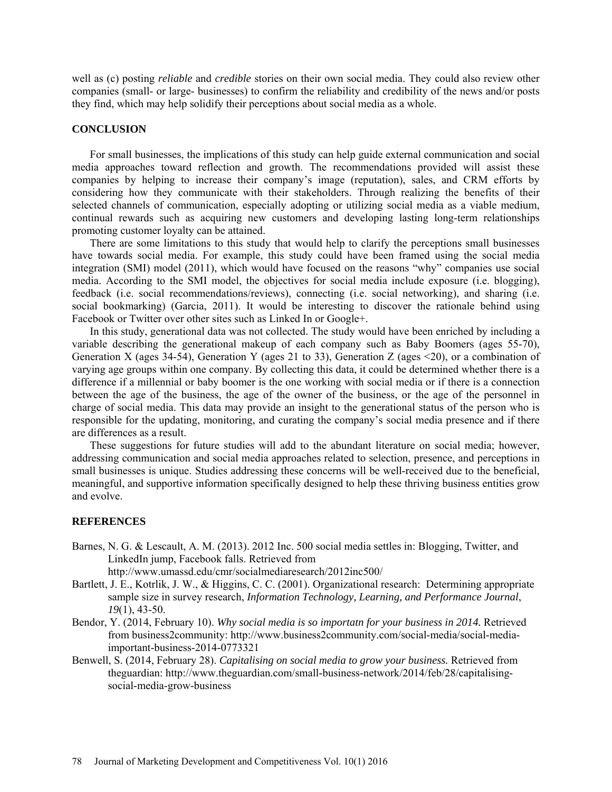well as (c) posting *reliable* and *credible* stories on their own social media. They could also review other companies (small- or large- businesses) to confirm the reliability and credibility of the news and/or posts they find, which may help solidify their perceptions about social media as a whole.

# **CONCLUSION**

For small businesses, the implications of this study can help guide external communication and social media approaches toward reflection and growth. The recommendations provided will assist these companies by helping to increase their company's image (reputation), sales, and CRM efforts by considering how they communicate with their stakeholders. Through realizing the benefits of their selected channels of communication, especially adopting or utilizing social media as a viable medium, continual rewards such as acquiring new customers and developing lasting long-term relationships promoting customer loyalty can be attained.

There are some limitations to this study that would help to clarify the perceptions small businesses have towards social media. For example, this study could have been framed using the social media integration (SMI) model (2011), which would have focused on the reasons "why" companies use social media. According to the SMI model, the objectives for social media include exposure (i.e. blogging), feedback (i.e. social recommendations/reviews), connecting (i.e. social networking), and sharing (i.e. social bookmarking) (Garcia, 2011). It would be interesting to discover the rationale behind using Facebook or Twitter over other sites such as Linked In or Google+.

In this study, generational data was not collected. The study would have been enriched by including a variable describing the generational makeup of each company such as Baby Boomers (ages 55-70), Generation X (ages 34-54), Generation Y (ages 21 to 33), Generation Z (ages  $\leq$ 20), or a combination of varying age groups within one company. By collecting this data, it could be determined whether there is a difference if a millennial or baby boomer is the one working with social media or if there is a connection between the age of the business, the age of the owner of the business, or the age of the personnel in charge of social media. This data may provide an insight to the generational status of the person who is responsible for the updating, monitoring, and curating the company's social media presence and if there are differences as a result.

These suggestions for future studies will add to the abundant literature on social media; however, addressing communication and social media approaches related to selection, presence, and perceptions in small businesses is unique. Studies addressing these concerns will be well-received due to the beneficial, meaningful, and supportive information specifically designed to help these thriving business entities grow and evolve.

#### **REFERENCES**

Barnes, N. G. & Lescault, A. M. (2013). 2012 Inc. 500 social media settles in: Blogging, Twitter, and LinkedIn jump, Facebook falls. Retrieved from

<http://www.umassd.edu/cmr/socialmediaresearch/2012inc500/>

- Bartlett, J. E., Kotrlik, J. W., & Higgins, C. C. (2001). Organizational research: Determining appropriate sample size in survey research, *Information Technology, Learning, and Performance Journal*, *19*(1), 43-50.
- Bendor, Y. (2014, February 10). *Why social media is so importatn for your business in 2014.* Retrieved from business2community: http://www.business2community.com/social-media/social-mediaimportant-business-2014-0773321
- Benwell, S. (2014, February 28). *Capitalising on social media to grow your business.* Retrieved from theguardian: http://www.theguardian.com/small-business-network/2014/feb/28/capitalisingsocial-media-grow-business